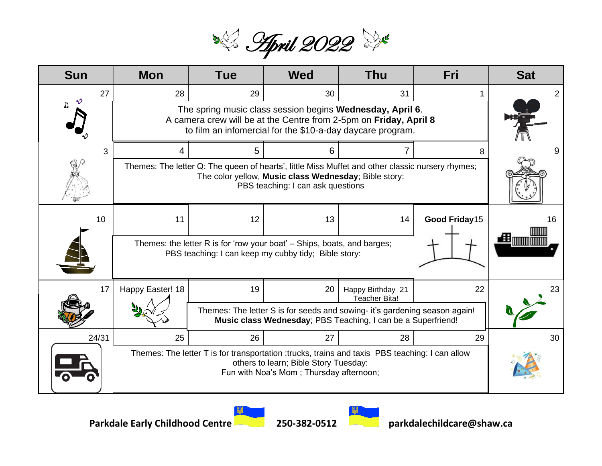

| <b>Sun</b> | <b>Mon</b>                                                                                                                                                                                     | <b>Tue</b> | <b>Wed</b>                                                                                                                                 | <b>Thu</b>                                | Fri           | <b>Sat</b> |
|------------|------------------------------------------------------------------------------------------------------------------------------------------------------------------------------------------------|------------|--------------------------------------------------------------------------------------------------------------------------------------------|-------------------------------------------|---------------|------------|
| 27         | 28                                                                                                                                                                                             | 29         | 30                                                                                                                                         | 31                                        |               |            |
|            | The spring music class session begins Wednesday, April 6.<br>A camera crew will be at the Centre from 2-5pm on Friday, April 8<br>to film an infomercial for the \$10-a-day daycare program.   |            |                                                                                                                                            |                                           |               |            |
| 3          | 4                                                                                                                                                                                              | 5          | 6                                                                                                                                          |                                           | 8             |            |
|            | Themes: The letter Q: The queen of hearts', little Miss Muffet and other classic nursery rhymes;<br>The color yellow, Music class Wednesday; Bible story:<br>PBS teaching: I can ask questions |            |                                                                                                                                            |                                           |               |            |
| 10         | 11                                                                                                                                                                                             | 12         | 13                                                                                                                                         | 14                                        | Good Friday15 | 16         |
|            | Themes: the letter R is for 'row your boat' – Ships, boats, and barges;<br>PBS teaching: I can keep my cubby tidy; Bible story:                                                                |            |                                                                                                                                            |                                           |               | 鱼咖咖        |
| 17         | Happy Easter! 18                                                                                                                                                                               | 19         | 20                                                                                                                                         | Happy Birthday 21<br><b>Teacher Bita!</b> | 22            | 23         |
|            |                                                                                                                                                                                                |            | Themes: The letter S is for seeds and sowing- it's gardening season again!<br>Music class Wednesday; PBS Teaching, I can be a Superfriend! |                                           |               |            |
| 24/31      | 25                                                                                                                                                                                             | 26         | 27                                                                                                                                         | 28                                        | 29            | 30         |
|            | Themes: The letter T is for transportation :trucks, trains and taxis PBS teaching: I can allow<br>others to learn; Bible Story Tuesday:<br>Fun with Noa's Mom; Thursday afternoon;             |            |                                                                                                                                            |                                           |               |            |



**R4**